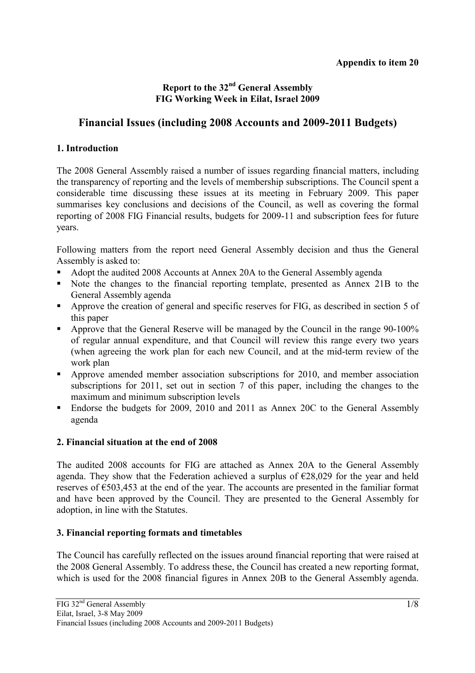# **Report to the 32nd General Assembly FIG Working Week in Eilat, Israel 2009**

# **Financial Issues (including 2008 Accounts and 2009-2011 Budgets)**

# **1. Introduction**

The 2008 General Assembly raised a number of issues regarding financial matters, including the transparency of reporting and the levels of membership subscriptions. The Council spent a considerable time discussing these issues at its meeting in February 2009. This paper summarises key conclusions and decisions of the Council, as well as covering the formal reporting of 2008 FIG Financial results, budgets for 2009-11 and subscription fees for future years.

Following matters from the report need General Assembly decision and thus the General Assembly is asked to:

- Adopt the audited 2008 Accounts at Annex 20A to the General Assembly agenda
- Note the changes to the financial reporting template, presented as Annex 21B to the General Assembly agenda
- Approve the creation of general and specific reserves for FIG, as described in section 5 of this paper
- Approve that the General Reserve will be managed by the Council in the range 90-100% of regular annual expenditure, and that Council will review this range every two years (when agreeing the work plan for each new Council, and at the mid-term review of the work plan
- Approve amended member association subscriptions for 2010, and member association subscriptions for 2011, set out in section 7 of this paper, including the changes to the maximum and minimum subscription levels
- Endorse the budgets for 2009, 2010 and 2011 as Annex 20C to the General Assembly agenda

# **2. Financial situation at the end of 2008**

The audited 2008 accounts for FIG are attached as Annex 20A to the General Assembly agenda. They show that the Federation achieved a surplus of  $\epsilon$ 28,029 for the year and held reserves of €503,453 at the end of the year. The accounts are presented in the familiar format and have been approved by the Council. They are presented to the General Assembly for adoption, in line with the Statutes.

# **3. Financial reporting formats and timetables**

The Council has carefully reflected on the issues around financial reporting that were raised at the 2008 General Assembly. To address these, the Council has created a new reporting format, which is used for the 2008 financial figures in Annex 20B to the General Assembly agenda.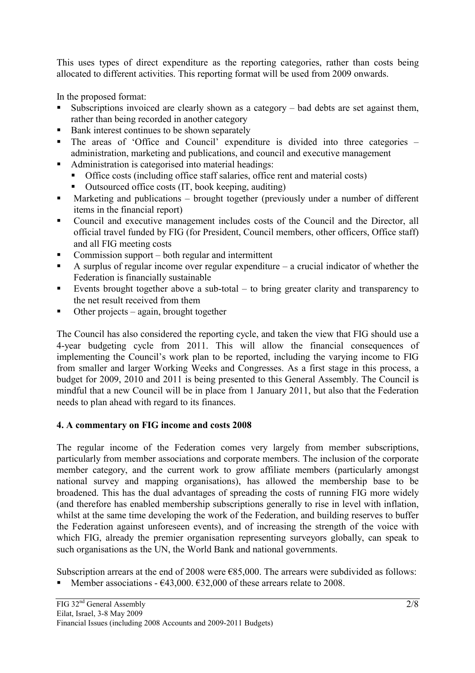This uses types of direct expenditure as the reporting categories, rather than costs being allocated to different activities. This reporting format will be used from 2009 onwards.

In the proposed format:

- Subscriptions invoiced are clearly shown as a category bad debts are set against them, rather than being recorded in another category
- Bank interest continues to be shown separately
- The areas of 'Office and Council' expenditure is divided into three categories administration, marketing and publications, and council and executive management
- Administration is categorised into material headings:
	- Office costs (including office staff salaries, office rent and material costs)
	- Outsourced office costs (IT, book keeping, auditing)
- Marketing and publications brought together (previously under a number of different items in the financial report)
- Council and executive management includes costs of the Council and the Director, all official travel funded by FIG (for President, Council members, other officers, Office staff) and all FIG meeting costs
- Commission support both regular and intermittent
- A surplus of regular income over regular expenditure  $-$  a crucial indicator of whether the Federation is financially sustainable
- Events brought together above a sub-total to bring greater clarity and transparency to the net result received from them
- Other projects again, brought together

The Council has also considered the reporting cycle, and taken the view that FIG should use a 4-year budgeting cycle from 2011. This will allow the financial consequences of implementing the Council's work plan to be reported, including the varying income to FIG from smaller and larger Working Weeks and Congresses. As a first stage in this process, a budget for 2009, 2010 and 2011 is being presented to this General Assembly. The Council is mindful that a new Council will be in place from 1 January 2011, but also that the Federation needs to plan ahead with regard to its finances.

#### **4. A commentary on FIG income and costs 2008**

The regular income of the Federation comes very largely from member subscriptions, particularly from member associations and corporate members. The inclusion of the corporate member category, and the current work to grow affiliate members (particularly amongst national survey and mapping organisations), has allowed the membership base to be broadened. This has the dual advantages of spreading the costs of running FIG more widely (and therefore has enabled membership subscriptions generally to rise in level with inflation, whilst at the same time developing the work of the Federation, and building reserves to buffer the Federation against unforeseen events), and of increasing the strength of the voice with which FIG, already the premier organisation representing surveyors globally, can speak to such organisations as the UN, the World Bank and national governments.

Subscription arrears at the end of 2008 were  $E$ 85,000. The arrears were subdivided as follows: Member associations -  $\epsilon$ 43,000.  $\epsilon$ 32,000 of these arrears relate to 2008.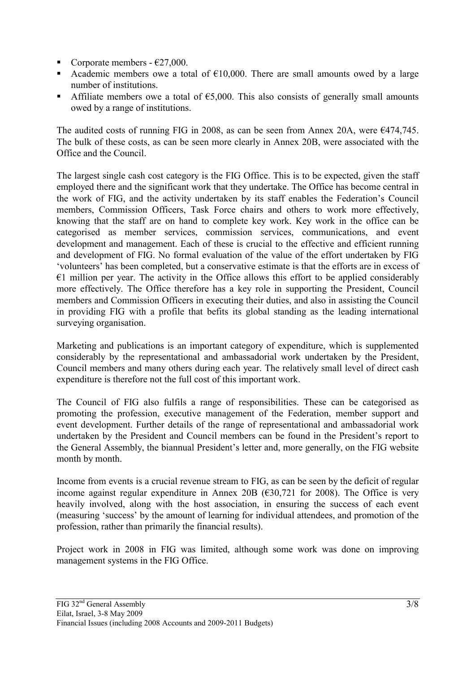- Corporate members  $-627,000$ .
- Academic members owe a total of  $E10,000$ . There are small amounts owed by a large number of institutions.
- Affiliate members owe a total of  $\epsilon$ 5,000. This also consists of generally small amounts owed by a range of institutions.

The audited costs of running FIG in 2008, as can be seen from Annex 20A, were €474,745. The bulk of these costs, as can be seen more clearly in Annex 20B, were associated with the Office and the Council.

The largest single cash cost category is the FIG Office. This is to be expected, given the staff employed there and the significant work that they undertake. The Office has become central in the work of FIG, and the activity undertaken by its staff enables the Federation's Council members, Commission Officers, Task Force chairs and others to work more effectively, knowing that the staff are on hand to complete key work. Key work in the office can be categorised as member services, commission services, communications, and event development and management. Each of these is crucial to the effective and efficient running and development of FIG. No formal evaluation of the value of the effort undertaken by FIG 'volunteers' has been completed, but a conservative estimate is that the efforts are in excess of  $€1$  million per year. The activity in the Office allows this effort to be applied considerably more effectively. The Office therefore has a key role in supporting the President, Council members and Commission Officers in executing their duties, and also in assisting the Council in providing FIG with a profile that befits its global standing as the leading international surveying organisation.

Marketing and publications is an important category of expenditure, which is supplemented considerably by the representational and ambassadorial work undertaken by the President, Council members and many others during each year. The relatively small level of direct cash expenditure is therefore not the full cost of this important work.

The Council of FIG also fulfils a range of responsibilities. These can be categorised as promoting the profession, executive management of the Federation, member support and event development. Further details of the range of representational and ambassadorial work undertaken by the President and Council members can be found in the President's report to the General Assembly, the biannual President's letter and, more generally, on the FIG website month by month.

Income from events is a crucial revenue stream to FIG, as can be seen by the deficit of regular income against regular expenditure in Annex 20B ( $\epsilon$ 30,721 for 2008). The Office is very heavily involved, along with the host association, in ensuring the success of each event (measuring 'success' by the amount of learning for individual attendees, and promotion of the profession, rather than primarily the financial results).

Project work in 2008 in FIG was limited, although some work was done on improving management systems in the FIG Office.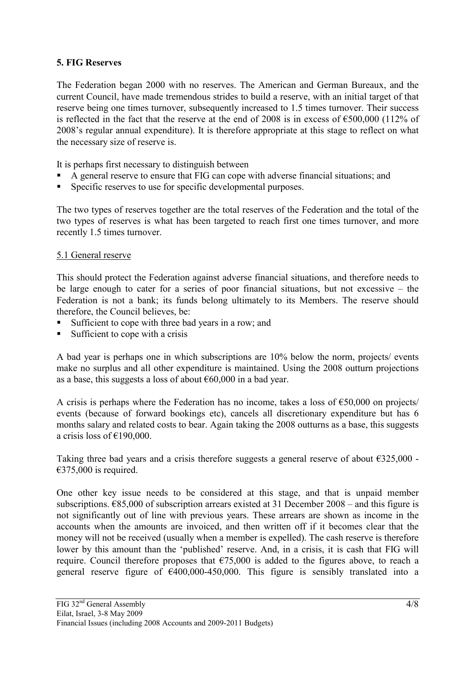## **5. FIG Reserves**

The Federation began 2000 with no reserves. The American and German Bureaux, and the current Council, have made tremendous strides to build a reserve, with an initial target of that reserve being one times turnover, subsequently increased to 1.5 times turnover. Their success is reflected in the fact that the reserve at the end of 2008 is in excess of  $\epsilon$ 500,000 (112% of 2008's regular annual expenditure). It is therefore appropriate at this stage to reflect on what the necessary size of reserve is.

It is perhaps first necessary to distinguish between

- A general reserve to ensure that FIG can cope with adverse financial situations; and
- Specific reserves to use for specific developmental purposes.

The two types of reserves together are the total reserves of the Federation and the total of the two types of reserves is what has been targeted to reach first one times turnover, and more recently 1.5 times turnover.

#### 5.1 General reserve

This should protect the Federation against adverse financial situations, and therefore needs to be large enough to cater for a series of poor financial situations, but not excessive – the Federation is not a bank; its funds belong ultimately to its Members. The reserve should therefore, the Council believes, be:

- Sufficient to cope with three bad years in a row; and
- Sufficient to cope with a crisis

A bad year is perhaps one in which subscriptions are 10% below the norm, projects/ events make no surplus and all other expenditure is maintained. Using the 2008 outturn projections as a base, this suggests a loss of about  $\epsilon$ 60,000 in a bad year.

A crisis is perhaps where the Federation has no income, takes a loss of  $\epsilon$ 50,000 on projects/ events (because of forward bookings etc), cancels all discretionary expenditure but has 6 months salary and related costs to bear. Again taking the 2008 outturns as a base, this suggests a crisis loss of €190,000.

Taking three bad years and a crisis therefore suggests a general reserve of about  $\epsilon$ 325,000 - $€375,000$  is required.

One other key issue needs to be considered at this stage, and that is unpaid member subscriptions.  $685,000$  of subscription arrears existed at 31 December 2008 – and this figure is not significantly out of line with previous years. These arrears are shown as income in the accounts when the amounts are invoiced, and then written off if it becomes clear that the money will not be received (usually when a member is expelled). The cash reserve is therefore lower by this amount than the 'published' reserve. And, in a crisis, it is cash that FIG will require. Council therefore proposes that  $\epsilon$ 75,000 is added to the figures above, to reach a general reserve figure of  $\epsilon$ 400,000-450,000. This figure is sensibly translated into a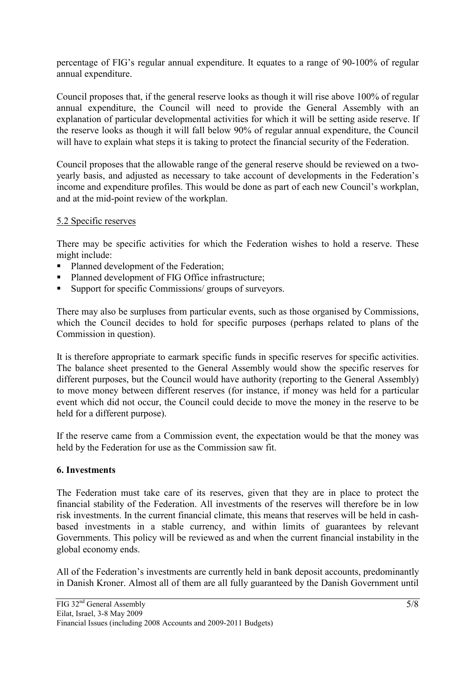percentage of FIG's regular annual expenditure. It equates to a range of 90-100% of regular annual expenditure.

Council proposes that, if the general reserve looks as though it will rise above 100% of regular annual expenditure, the Council will need to provide the General Assembly with an explanation of particular developmental activities for which it will be setting aside reserve. If the reserve looks as though it will fall below 90% of regular annual expenditure, the Council will have to explain what steps it is taking to protect the financial security of the Federation.

Council proposes that the allowable range of the general reserve should be reviewed on a twoyearly basis, and adjusted as necessary to take account of developments in the Federation's income and expenditure profiles. This would be done as part of each new Council's workplan, and at the mid-point review of the workplan.

#### 5.2 Specific reserves

There may be specific activities for which the Federation wishes to hold a reserve. These might include:

- Planned development of the Federation;
- Planned development of FIG Office infrastructure:
- Support for specific Commissions/ groups of surveyors.

There may also be surpluses from particular events, such as those organised by Commissions, which the Council decides to hold for specific purposes (perhaps related to plans of the Commission in question).

It is therefore appropriate to earmark specific funds in specific reserves for specific activities. The balance sheet presented to the General Assembly would show the specific reserves for different purposes, but the Council would have authority (reporting to the General Assembly) to move money between different reserves (for instance, if money was held for a particular event which did not occur, the Council could decide to move the money in the reserve to be held for a different purpose).

If the reserve came from a Commission event, the expectation would be that the money was held by the Federation for use as the Commission saw fit.

#### **6. Investments**

The Federation must take care of its reserves, given that they are in place to protect the financial stability of the Federation. All investments of the reserves will therefore be in low risk investments. In the current financial climate, this means that reserves will be held in cashbased investments in a stable currency, and within limits of guarantees by relevant Governments. This policy will be reviewed as and when the current financial instability in the global economy ends.

All of the Federation's investments are currently held in bank deposit accounts, predominantly in Danish Kroner. Almost all of them are all fully guaranteed by the Danish Government until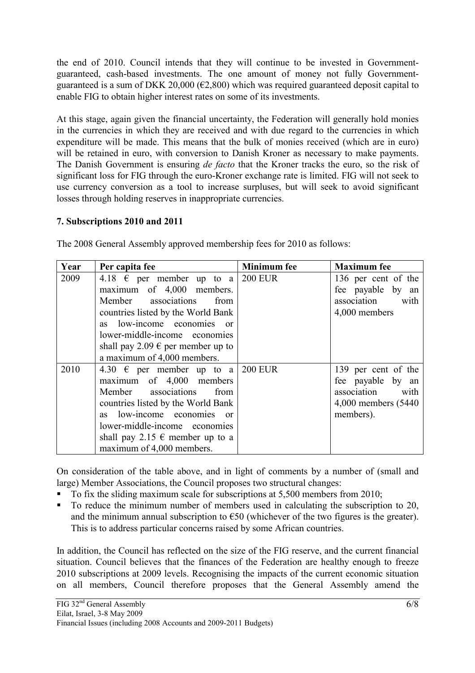the end of 2010. Council intends that they will continue to be invested in Governmentguaranteed, cash-based investments. The one amount of money not fully Governmentguaranteed is a sum of DKK 20,000 ( $\epsilon$ 2,800) which was required guaranteed deposit capital to enable FIG to obtain higher interest rates on some of its investments.

At this stage, again given the financial uncertainty, the Federation will generally hold monies in the currencies in which they are received and with due regard to the currencies in which expenditure will be made. This means that the bulk of monies received (which are in euro) will be retained in euro, with conversion to Danish Kroner as necessary to make payments. The Danish Government is ensuring *de facto* that the Kroner tracks the euro, so the risk of significant loss for FIG through the euro-Kroner exchange rate is limited. FIG will not seek to use currency conversion as a tool to increase surpluses, but will seek to avoid significant losses through holding reserves in inappropriate currencies.

## **7. Subscriptions 2010 and 2011**

| Year | Per capita fee                             | <b>Minimum</b> fee | <b>Maximum</b> fee   |
|------|--------------------------------------------|--------------------|----------------------|
| 2009 | 4.18 $\epsilon$ per member up to a         | <b>200 EUR</b>     | 136 per cent of the  |
|      | maximum of 4,000 members.                  |                    | fee payable by an    |
|      | Member associations<br>from                |                    | association<br>with  |
|      | countries listed by the World Bank         |                    | 4,000 members        |
|      | as low-income economies<br>$\alpha$        |                    |                      |
|      | lower-middle-income economies              |                    |                      |
|      | shall pay 2.09 $\epsilon$ per member up to |                    |                      |
|      | a maximum of 4,000 members.                |                    |                      |
| 2010 | 4.30 $\in$ per member up to a              | <b>200 EUR</b>     | 139 per cent of the  |
|      | maximum of 4,000 members                   |                    | fee payable by an    |
|      | Member associations<br>from                |                    | association<br>with  |
|      | countries listed by the World Bank         |                    | 4,000 members (5440) |
|      | as low-income economies<br>$\alpha$        |                    | members).            |
|      | lower-middle-income economies              |                    |                      |
|      | shall pay 2.15 $\epsilon$ member up to a   |                    |                      |
|      | maximum of 4,000 members.                  |                    |                      |

The 2008 General Assembly approved membership fees for 2010 as follows:

On consideration of the table above, and in light of comments by a number of (small and large) Member Associations, the Council proposes two structural changes:

- To fix the sliding maximum scale for subscriptions at 5,500 members from 2010;
- To reduce the minimum number of members used in calculating the subscription to 20, and the minimum annual subscription to  $\epsilon$ 50 (whichever of the two figures is the greater). This is to address particular concerns raised by some African countries.

In addition, the Council has reflected on the size of the FIG reserve, and the current financial situation. Council believes that the finances of the Federation are healthy enough to freeze 2010 subscriptions at 2009 levels. Recognising the impacts of the current economic situation on all members, Council therefore proposes that the General Assembly amend the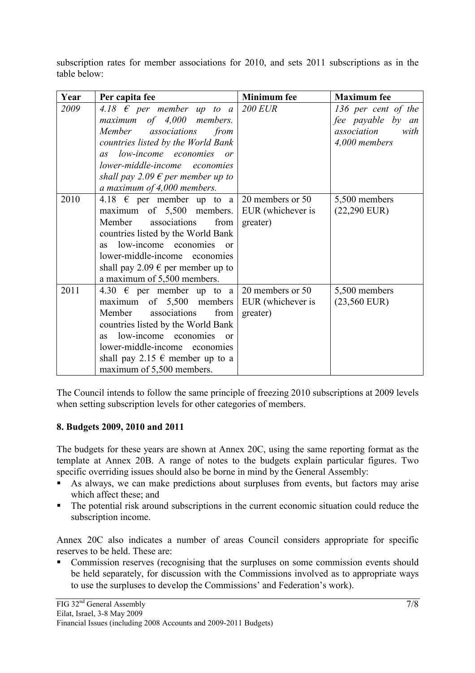subscription rates for member associations for 2010, and sets 2011 subscriptions as in the table below:

| Year | Per capita fee                                | <b>Minimum</b> fee | <b>Maximum</b> fee  |
|------|-----------------------------------------------|--------------------|---------------------|
| 2009 | 4.18 $\epsilon$ per member up to a            | <b>200 EUR</b>     | 136 per cent of the |
|      | maximum of 4,000 members.                     |                    | fee payable by an   |
|      | Member associations<br>from                   |                    | association<br>with |
|      | countries listed by the World Bank            |                    | 4,000 members       |
|      | low-income economies or<br>as                 |                    |                     |
|      | lower-middle-income economies                 |                    |                     |
|      | shall pay 2.09 $\epsilon$ per member up to    |                    |                     |
|      | a maximum of 4,000 members.                   |                    |                     |
| 2010 | 4.18 $\epsilon$ per member up to a            | 20 members or 50   | 5,500 members       |
|      | maximum of 5,500 members.                     | EUR (whichever is  | $(22,290$ EUR)      |
|      | Member<br>associations<br>from                | greater)           |                     |
|      | countries listed by the World Bank            |                    |                     |
|      | low-income economies<br>as<br>$\alpha$        |                    |                     |
|      | lower-middle-income economies                 |                    |                     |
|      | shall pay 2.09 $\epsilon$ per member up to    |                    |                     |
|      | a maximum of 5,500 members.                   |                    |                     |
| 2011 | 4.30 $\epsilon$ per member up to a            | 20 members or 50   | 5,500 members       |
|      | maximum of 5,500 members                      | EUR (whichever is  | $(23,560$ EUR)      |
|      | Member<br>associations<br>from                | greater)           |                     |
|      | countries listed by the World Bank            |                    |                     |
|      | low-income economies<br><b>as</b><br>$\alpha$ |                    |                     |
|      | lower-middle-income economies                 |                    |                     |
|      | shall pay 2.15 $\epsilon$ member up to a      |                    |                     |
|      | maximum of 5,500 members.                     |                    |                     |

The Council intends to follow the same principle of freezing 2010 subscriptions at 2009 levels when setting subscription levels for other categories of members.

# **8. Budgets 2009, 2010 and 2011**

The budgets for these years are shown at Annex 20C, using the same reporting format as the template at Annex 20B. A range of notes to the budgets explain particular figures. Two specific overriding issues should also be borne in mind by the General Assembly:

- As always, we can make predictions about surpluses from events, but factors may arise which affect these; and
- The potential risk around subscriptions in the current economic situation could reduce the subscription income.

Annex 20C also indicates a number of areas Council considers appropriate for specific reserves to be held. These are:

• Commission reserves (recognising that the surpluses on some commission events should be held separately, for discussion with the Commissions involved as to appropriate ways to use the surpluses to develop the Commissions' and Federation's work).